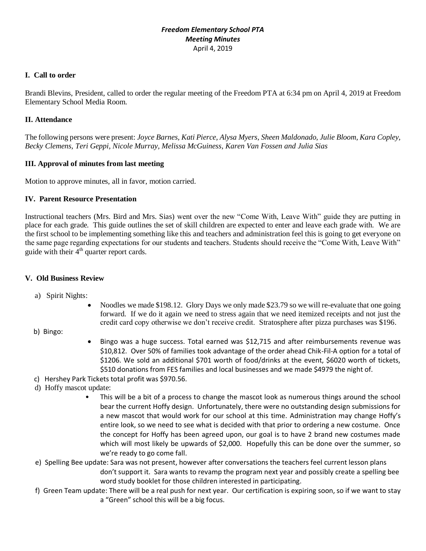# *Freedom Elementary School PTA Meeting Minutes* April 4, 2019

## **I. Call to order**

Brandi Blevins, President, called to order the regular meeting of the Freedom PTA at 6:34 pm on April 4, 2019 at Freedom Elementary School Media Room.

#### **II. Attendance**

The following persons were present: *Joyce Barnes, Kati Pierce, Alysa Myers, Sheen Maldonado, Julie Bloom, Kara Copley, Becky Clemens, Teri Geppi, Nicole Murray, Melissa McGuiness, Karen Van Fossen and Julia Sias*

#### **III. Approval of minutes from last meeting**

Motion to approve minutes, all in favor, motion carried.

# **IV. Parent Resource Presentation**

Instructional teachers (Mrs. Bird and Mrs. Sias) went over the new "Come With, Leave With" guide they are putting in place for each grade. This guide outlines the set of skill children are expected to enter and leave each grade with. We are the first school to be implementing something like this and teachers and administration feel this is going to get everyone on the same page regarding expectations for our students and teachers. Students should receive the "Come With, Leave With" guide with their  $4<sup>th</sup>$  quarter report cards.

#### **V. Old Business Review**

- a) Spirit Nights:
	- Noodles we made \$198.12. Glory Days we only made \$23.79 so we will re-evaluate that one going forward. If we do it again we need to stress again that we need itemized receipts and not just the credit card copy otherwise we don't receive credit. Stratosphere after pizza purchases was \$196.
- b) Bingo:
- Bingo was a huge success. Total earned was \$12,715 and after reimbursements revenue was \$10,812. Over 50% of families took advantage of the order ahead Chik-Fil-A option for a total of \$1206. We sold an additional \$701 worth of food/drinks at the event, \$6020 worth of tickets, \$510 donations from FES families and local businesses and we made \$4979 the night of.
- c) Hershey Park Tickets total profit was \$970.56.
- d) Hoffy mascot update:
	- This will be a bit of a process to change the mascot look as numerous things around the school bear the current Hoffy design. Unfortunately, there were no outstanding design submissions for a new mascot that would work for our school at this time. Administration may change Hoffy's entire look, so we need to see what is decided with that prior to ordering a new costume. Once the concept for Hoffy has been agreed upon, our goal is to have 2 brand new costumes made which will most likely be upwards of \$2,000. Hopefully this can be done over the summer, so we're ready to go come fall.
- e) Spelling Bee update: Sara was not present, however after conversations the teachers feel current lesson plans don't support it. Sara wants to revamp the program next year and possibly create a spelling bee word study booklet for those children interested in participating.
- f) Green Team update: There will be a real push for next year. Our certification is expiring soon, so if we want to stay a "Green" school this will be a big focus.